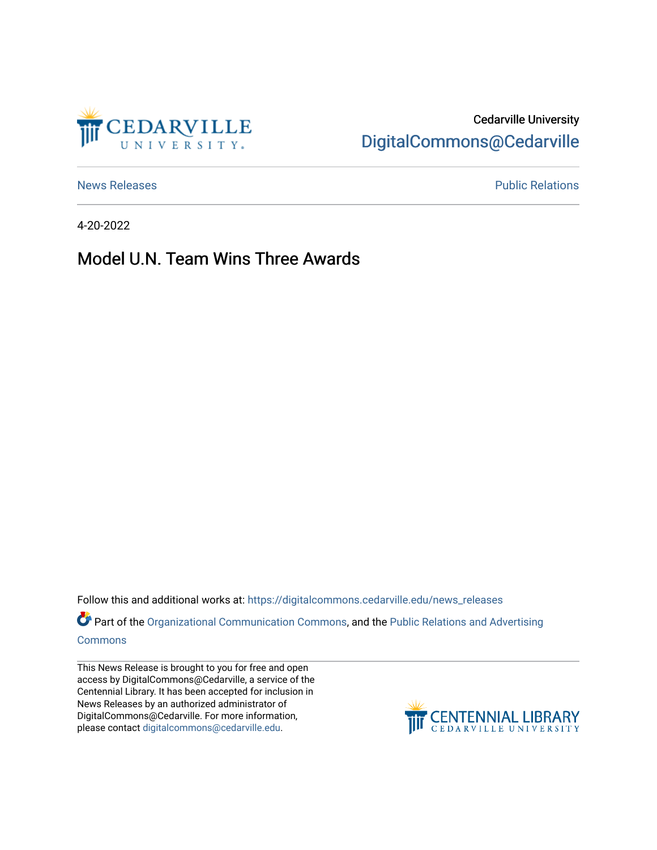

# Cedarville University [DigitalCommons@Cedarville](https://digitalcommons.cedarville.edu/)

[News Releases](https://digitalcommons.cedarville.edu/news_releases) **Public Relations Public Relations** 

4-20-2022

## Model U.N. Team Wins Three Awards

Follow this and additional works at: [https://digitalcommons.cedarville.edu/news\\_releases](https://digitalcommons.cedarville.edu/news_releases?utm_source=digitalcommons.cedarville.edu%2Fnews_releases%2F1545&utm_medium=PDF&utm_campaign=PDFCoverPages) 

Part of the [Organizational Communication Commons](http://network.bepress.com/hgg/discipline/335?utm_source=digitalcommons.cedarville.edu%2Fnews_releases%2F1545&utm_medium=PDF&utm_campaign=PDFCoverPages), and the Public Relations and Advertising [Commons](http://network.bepress.com/hgg/discipline/336?utm_source=digitalcommons.cedarville.edu%2Fnews_releases%2F1545&utm_medium=PDF&utm_campaign=PDFCoverPages)

This News Release is brought to you for free and open access by DigitalCommons@Cedarville, a service of the Centennial Library. It has been accepted for inclusion in News Releases by an authorized administrator of DigitalCommons@Cedarville. For more information, please contact [digitalcommons@cedarville.edu](mailto:digitalcommons@cedarville.edu).

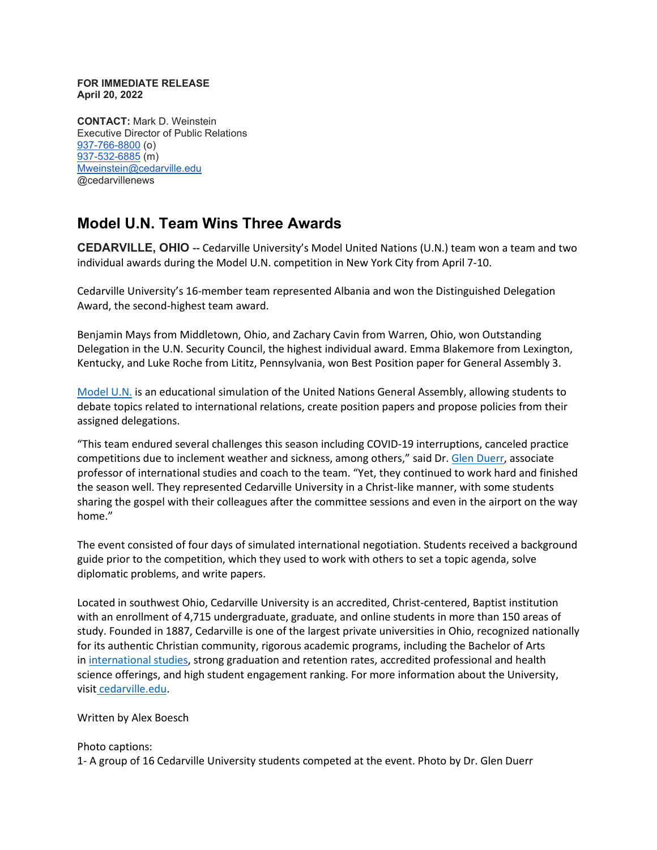#### **FOR IMMEDIATE RELEASE April 20, 2022**

**CONTACT:** Mark D. Weinstein Executive Director of Public Relations [937-766-8800](tel:937-766-8800) (o) [937-532-6885](tel:937-532-6885) (m) [Mweinstein@cedarville.edu](mailto:Mweinstein@cedarville.edu) @cedarvillenews

## **Model U.N. Team Wins Three Awards**

**CEDARVILLE, OHIO --** Cedarville University's Model United Nations (U.N.) team won a team and two individual awards during the Model U.N. competition in New York City from April 7-10.

Cedarville University's 16-member team represented Albania and won the Distinguished Delegation Award, the second-highest team award.

Benjamin Mays from Middletown, Ohio, and Zachary Cavin from Warren, Ohio, won Outstanding Delegation in the U.N. Security Council, the highest individual award. Emma Blakemore from Lexington, Kentucky, and Luke Roche from Lititz, Pennsylvania, won Best Position paper for General Assembly 3.

[Model U.N.](https://unausa.org/model-un/) is an educational simulation of the United Nations General Assembly, allowing students to debate topics related to international relations, create position papers and propose policies from their assigned delegations.

"This team endured several challenges this season including COVID-19 interruptions, canceled practice competitions due to inclement weather and sickness, among others," said Dr. [Glen Duerr,](https://www.cedarville.edu/academic-schools-and-departments/history-and-government/faculty-staff/duerr-glen) associate professor of international studies and coach to the team. "Yet, they continued to work hard and finished the season well. They represented Cedarville University in a Christ-like manner, with some students sharing the gospel with their colleagues after the committee sessions and even in the airport on the way home."

The event consisted of four days of simulated international negotiation. Students received a background guide prior to the competition, which they used to work with others to set a topic agenda, solve diplomatic problems, and write papers.

Located in southwest Ohio, Cedarville University is an accredited, Christ-centered, Baptist institution with an enrollment of 4,715 undergraduate, graduate, and online students in more than 150 areas of study. Founded in 1887, Cedarville is one of the largest private universities in Ohio, recognized nationally for its authentic Christian community, rigorous academic programs, including the Bachelor of Arts in [international studies,](https://www.cedarville.edu/academic-programs/international-studies) strong graduation and retention rates, accredited professional and health science offerings, and high student engagement ranking. For more information about the University, visit [cedarville.edu.](https://www.cedarville.edu/)

### Written by Alex Boesch

### Photo captions:

1- A group of 16 Cedarville University students competed at the event. Photo by Dr. Glen Duerr